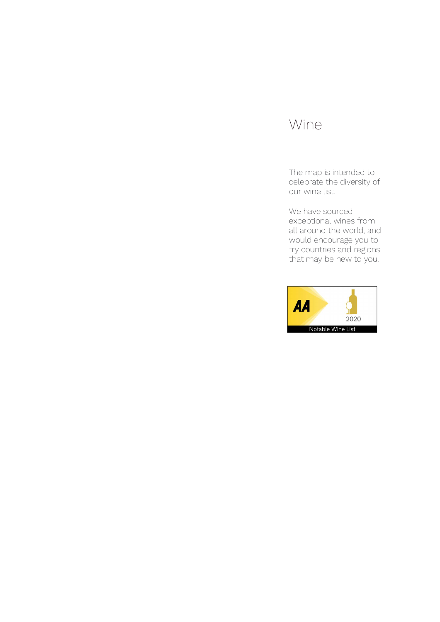# Wine

The map is intended to celebrate the diversity of our wine list.

We have sourced exceptional wines from all around the world, and would encourage you to try countries and regions that may be new to you.

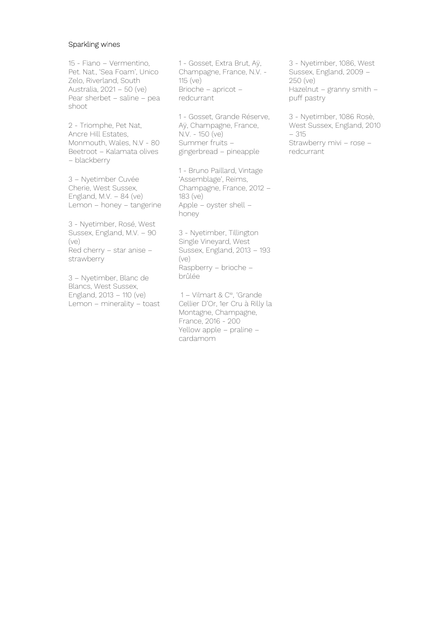#### Sparkling wines

15 - Fiano – Vermentino, Pet. Nat., 'Sea Foam', Unico Zelo, Riverland, South Australia, 2021 – 50 (ve) Pear sherbet – saline – pea shoot

2 - Triomphe, Pet Nat, Ancre Hill Estates, Monmouth, Wales, N.V - 80 Beetroot – Kalamata olives – blackberry

3 – Nyetimber Cuvée Cherie, West Sussex, England, M.V.  $-84$  (ve) Lemon – honey – tangerine

3 - Nyetimber, Rosé, West Sussex, England, M.V. – 90 (ve) Red cherry – star anise – strawberry

3 – Nyetimber, Blanc de Blancs, West Sussex, England, 2013 – 110 (ve) Lemon – minerality – toast 1 - Gosset, Extra Brut, Aÿ, Champagne, France, N.V. - 115 (ve) Brioche – apricot – redcurrant

1 - Gosset, Grande Réserve, Aÿ, Champagne, France, N.V. - 150 (ve) Summer fruits – gingerbread – pineapple

1 - Bruno Paillard, Vintage 'Assemblage', Reims, Champagne, France, 2012 – 183 (ve) Apple – oyster shell – honey

3 - Nyetimber, Tillington Single Vineyard, West Sussex, England, 2013 – 193 (ve) Raspberry – brioche – brûlée

 1 – Vilmart & Cie, 'Grande Cellier D'Or, 1er Cru à Rilly la Montagne, Champagne, France, 2016 - 200 Yellow apple – praline – cardamom

3 - Nyetimber, 1086, West Sussex, England, 2009 – 250 (ve) Hazelnut – granny smith – puff pastry

3 - Nyetimber, 1086 Rosè, West Sussex, England, 2010 – 315 Strawberry mivi – rose – redcurrant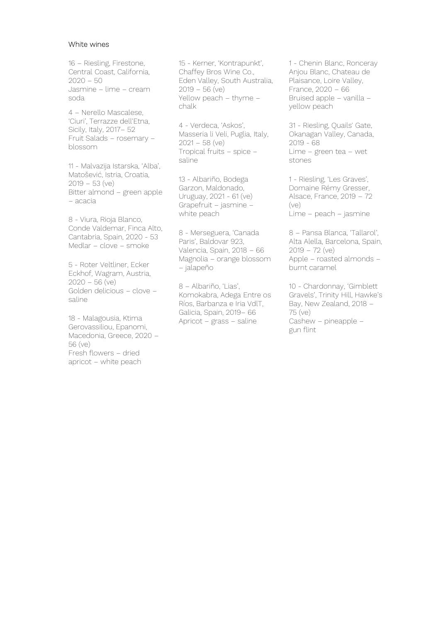#### White wines

16 – Riesling, Firestone, Central Coast, California,  $2020 - 50$ Jasmine – lime – cream soda

4 – Nerello Mascalese, 'Ciuri', Terrazze dell'Etna, Sicily, Italy, 2017– 52 Fruit Salads – rosemary – blossom

11 - Malvazija Istarska, 'Alba', Matošević, Istria, Croatia, 2019 – 53 (ve) Bitter almond – green apple – acacia

8 - Viura, Rioja Blanco, Conde Valdemar, Finca Alto, Cantabria, Spain, 2020 - 53 Medlar – clove – smoke

5 - Roter Veltliner, Ecker Eckhof, Wagram, Austria, 2020 – 56 (ve) Golden delicious – clove – saline

18 - Malagousia, Ktima Gerovassiliou, Epanomi, Macedonia, Greece, 2020 – 56 (ve) Fresh flowers – dried apricot – white peach

15 - Kerner, 'Kontrapunkt', Chaffey Bros Wine Co., Eden Valley, South Australia, 2019 – 56 (ve) Yellow peach – thyme – chalk

4 - Verdeca, 'Askos', Masseria li Veli, Puglia, Italy, 2021 – 58 (ve) Tropical fruits – spice – saline

13 - Albariño, Bodega Garzon, Maldonado, Uruguay, 2021 - 61 (ve) Grapefruit – jasmine – white peach

8 - Merseguera, 'Canada Paris', Baldovar 923, Valencia, Spain, 2018 – 66 Magnolia – orange blossom – jalapeño

8 – Albariño, 'Lias', Komokabra, Adega Entre os Ríos, Barbanza e Iria VdlT, Galicia, Spain, 2019– 66 Apricot – grass – saline

1 - Chenin Blanc, Ronceray Anjou Blanc, Chateau de Plaisance, Loire Valley, France, 2020 – 66 Bruised apple – vanilla – yellow peach

31 - Riesling, Quails' Gate, Okanagan Valley, Canada, 2019 - 68 Lime – green tea – wet stones

1 - Riesling, 'Les Graves', Domaine Rémy Gresser, Alsace, France, 2019 – 72 (ve) Lime – peach – jasmine

8 – Pansa Blanca, 'Tallarol', Alta Alella, Barcelona, Spain,  $2019 - 72$  (ve) Apple – roasted almonds – burnt caramel

10 - Chardonnay, 'Gimblett Gravels', Trinity Hill, Hawke's Bay, New Zealand, 2018 – 75 (ve) Cashew – pineapple – gun flint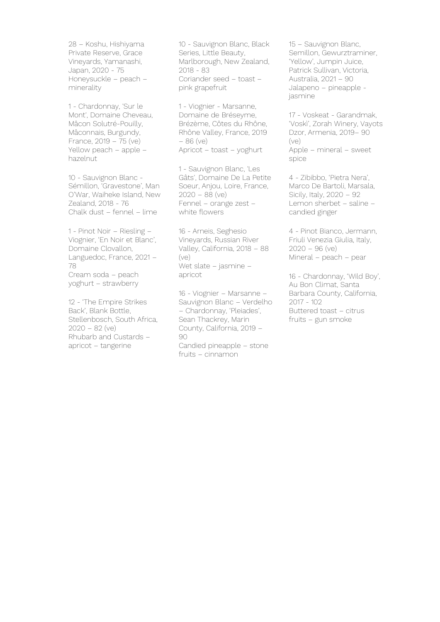28 – Koshu, Hishiyama Private Reserve, Grace Vineyards, Yamanashi, Japan, 2020 - 75 Honeysuckle – peach – minerality

1 - Chardonnay, 'Sur le Mont', Domaine Cheveau, Mâcon Solutré-Pouilly, Mâconnais, Burgundy, France, 2019 – 75 (ve) Yellow peach – apple – hazelnut

10 - Sauvignon Blanc - Sémillon, 'Gravestone', Man O'War, Waiheke Island, New Zealand, 2018 - 76 Chalk dust – fennel – lime

1 - Pinot Noir – Riesling – Viognier, 'En Noir et Blanc', Domaine Clovallon, Languedoc, France, 2021 – 78 Cream soda – peach yoghurt – strawberry

12 - 'The Empire Strikes Back', Blank Bottle, Stellenbosch, South Africa, 2020 – 82 (ve) Rhubarb and Custards – apricot – tangerine

10 - Sauvignon Blanc, Black Series, Little Beauty, Marlborough, New Zealand, 2018 - 83 Coriander seed – toast – pink grapefruit

1 - Viognier - Marsanne, Domaine de Bréseyme, Brézème, Côtes du Rhône, Rhône Valley, France, 2019 – 86 (ve) Apricot – toast – yoghurt

1 - Sauvignon Blanc, 'Les Gâts', Domaine De La Petite Soeur, Anjou, Loire, France, 2020 – 88 (ve) Fennel – orange zest – white flowers

16 - Arneis, Seghesio Vineyards, Russian River Valley, California, 2018 – 88 (ve) Wet slate – jasmine – apricot

16 - Viognier – Marsanne – Sauvignon Blanc – Verdelho – Chardonnay, 'Pleiades', Sean Thackrey, Marin County, California, 2019 – 90 Candied pineapple – stone fruits – cinnamon

15 – Sauvignon Blanc, Semillon, Gewurztraminer, 'Yellow', Jumpin Juice, Patrick Sullivan, Victoria, Australia, 2021 – 90 Jalapeno – pineapple jasmine

17 - Voskeat - Garandmak, 'Voskì', Zorah Winery, Vayots Dzor, Armenia, 2019– 90 (ve) Apple – mineral – sweet spice

4 - Zibibbo, 'Pietra Nera', Marco De Bartoli, Marsala, Sicily, Italy, 2020 – 92 Lemon sherbet – saline – candied ginger

4 - Pinot Bianco, Jermann, Friuli Venezia Giulia, Italy,  $2020 - 96$  (ve) Mineral – peach – pear

16 - Chardonnay, 'Wild Boy', Au Bon Climat, Santa Barbara County, California, 2017 - 102 Buttered toast – citrus fruits – gun smoke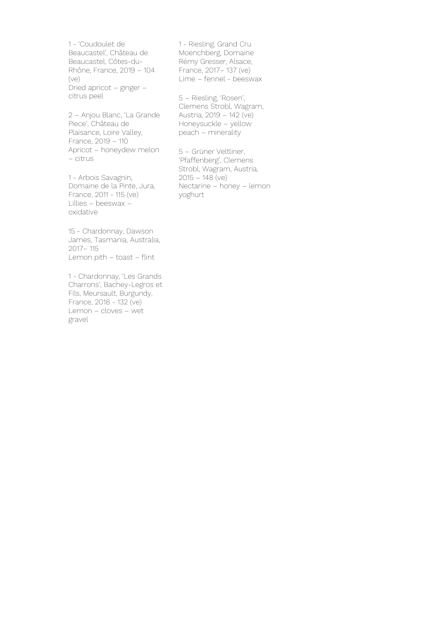1 - 'Coudoulet de Beaucastel', Château de Beaucastel, Côtes-du-Rhône, France, 2019 – 104 (ve) Dried apricot – ginger – citrus peel

2 – Anjou Blanc, 'La Grande Piece', Château de Plaisance, Loire Valley, France, 2019 – 110 Apricot – honeydew melon – citrus

1 - Arbois Savagnin, Domaine de la Pinte, Jura, France, 2011 - 115 (ve) Lillies – beeswax – oxidative

15 - Chardonnay, Dawson James, Tasmania, Australia, 2017– 115 Lemon pith – toast – flint

1 - Chardonnay, 'Les Grands Charrons', Bachey-Legros et Fils, Meursault, Burgundy, France, 2018 - 132 (ve) Lemon – cloves – wet gravel

1 - Riesling, Grand Cru Moenchberg, Domaine Rémy Gresser, Alsace, France, 2017– 137 (ve) Lime – fennel - beeswax

5 – Riesling, 'Rosen', Clemens Strobl, Wagram, Austria, 2019 – 142 (ve) Honeysuckle – yellow peach – minerality

5 – Grüner Veltliner, 'Pfaffenberg', Clemens Strobl, Wagram, Austria,  $2015 - 148$  (ve) Nectarine – honey – lemon yoghurt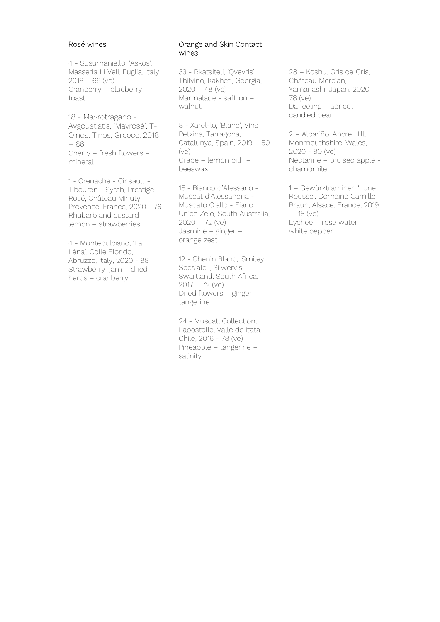# Rosé wines

4 - Susumaniello, 'Askos', Masseria Li Veli, Puglia, Italy,  $2018 - 66$  (ve) Cranberry – blueberry – toast

18 - Mavrotragano - Avgoustiatis, 'Mavrosé', T-Oinos, Tinos, Greece, 2018 – 66 Cherry – fresh flowers – mineral

1 - Grenache - Cinsault - Tibouren - Syrah, Prestige Rosé, Château Minuty, Provence, France, 2020 - 76 Rhubarb and custard – lemon – strawberries

4 - Montepulciano, 'La Lèna', Colle Florido, Abruzzo, Italy, 2020 - 88 Strawberry jam – dried herbs – cranberry

#### Orange and Skin Contact wines

33 - Rkatsiteli, 'Qvevris', Tbilvino, Kakheti, Georgia, 2020 – 48 (ve) Marmalade - saffron – walnut

8 - Xarel-lo, 'Blanc', Vins Petxina, Tarragona, Catalunya, Spain, 2019 – 50 (ve) Grape – lemon pith – beeswax

15 - Bianco d'Alessano - Muscat d'Alessandria - Muscato Giallo - Fiano, Unico Zelo, South Australia,  $2020 - 72$  (ve) Jasmine – ginger – orange zest

12 - Chenin Blanc, 'Smiley Spesiale ', Silwervis, Swartland, South Africa, 2017 – 72 (ve) Dried flowers – ginger – tangerine

24 - Muscat, Collection, Lapostolle, Valle de Itata, Chile, 2016 - 78 (ve) Pineapple – tangerine – salinity

28 – Koshu, Gris de Gris, Château Mercian, Yamanashi, Japan, 2020 – 78 (ve) Darjeeling – apricot – candied pear

2 – Albariño, Ancre Hill, Monmouthshire, Wales, 2020 - 80 (ve) Nectarine – bruised apple chamomile

1 – Gewürztraminer, 'Lune Rousse', Domaine Camille Braun, Alsace, France, 2019 – 115 (ve) Lychee – rose water – white pepper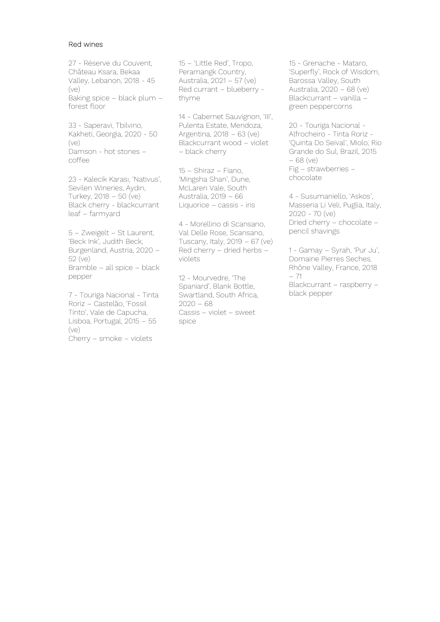#### Red wines

27 - Réserve du Couvent, Château Ksara, Bekaa Valley, Lebanon, 2018 - 45 (ve) Baking spice – black plum – forest floor

33 - Saperavi, Tbilvino, Kakheti, Georgia, 2020 - 50 (ve) Damson - hot stones – coffee

23 - Kalecik Karası, 'Nativus', Sevilen Wineries, Aydın, Turkey, 2018 – 50 (ve) Black cherry - blackcurrant leaf – farmyard

5 – Zweigelt – St Laurent, 'Beck Ink', Judith Beck, Burgenland, Austria, 2020 – 52 (ve) Bramble – all spice – black pepper

7 - Touriga Nacional - Tinta Roriz – Castelão, 'Fossil Tinto', Vale de Capucha, Lisboa, Portugal, 2015 – 55 (ve) Cherry – smoke – violets

15 – 'Little Red', Tropo, Peramangk Country, Australia, 2021 – 57 (ve) Red currant – blueberry thyme

14 - Cabernet Sauvignon, 'III', Pulenta Estate, Mendoza, Argentina, 2018 – 63 (ve) Blackcurrant wood – violet – black cherry

15 – Shiraz – Fiano, 'Mingsha Shan', Dune, McLaren Vale, South Australia, 2019 – 66 Liquorice – cassis - iris

4 - Morellino di Scansano, Val Delle Rose, Scansano, Tuscany, Italy,  $2019 - 67$  (ve) Red cherry – dried herbs – violets

12 - Mourvedre, 'The Spaniard', Blank Bottle, Swartland, South Africa,  $2020 - 68$ Cassis – violet – sweet spice

15 - Grenache - Mataro, 'Superfly', Rock of Wisdom, Barossa Valley, South Australia, 2020 – 68 (ve) Blackcurrant – vanilla – green peppercorns

20 - Touriga Nacional - Alfrocheiro - Tinta Roriz - 'Quinta Do Seival', Miolo, Rio Grande do Sul, Brazil, 2015 – 68 (ve) Fig – strawberries – chocolate

4 - Susumaniello, 'Askos', Masseria Li Veli, Puglia, Italy, 2020 - 70 (ve) Dried cherry – chocolate – pencil shavings

1 - Gamay – Syrah, 'Pur Ju', Domaine Pierres Seches, Rhône Valley, France, 2018 – 71 Blackcurrant – raspberry – black pepper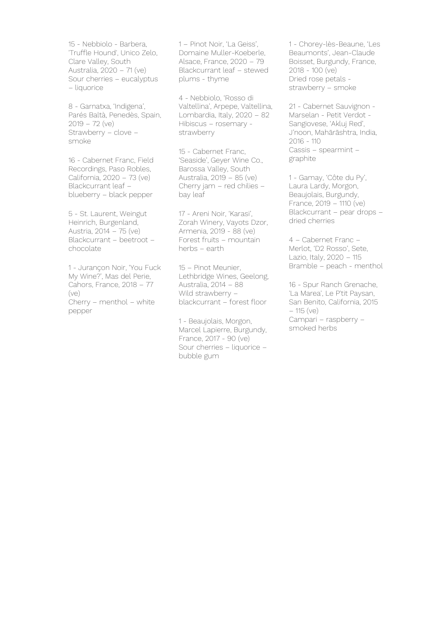15 - Nebbiolo - Barbera, 'Truffle Hound', Unico Zelo, Clare Valley, South Australia, 2020 – 71 (ve) Sour cherries – eucalyptus – liquorice

8 - Garnatxa, 'Indigena', Parés Baltà, Penedès, Spain, 2019 – 72 (ve) Strawberry – clove – smoke

16 - Cabernet Franc, Field Recordings, Paso Robles, California, 2020 – 73 (ve) Blackcurrant leaf – blueberry – black pepper

5 - St. Laurent, Weingut Heinrich, Burgenland, Austria, 2014 – 75 (ve) Blackcurrant – beetroot – chocolate

1 - Jurançon Noir, 'You Fuck My Wine?', Mas del Perie, Cahors, France, 2018 – 77 (ve) Cherry – menthol – white pepper

1 – Pinot Noir, 'La Geiss', Domaine Muller-Koeberle, Alsace, France, 2020 – 79 Blackcurrant leaf – stewed plums - thyme

4 - Nebbiolo, 'Rosso di Valtellina', Arpepe, Valtellina, Lombardia, Italy, 2020 – 82 Hibiscus – rosemary strawberry

15 - Cabernet Franc, 'Seaside', Geyer Wine Co., Barossa Valley, South Australia, 2019 – 85 (ve) Cherry jam – red chilies – bay leaf

17 - Areni Noir, 'Karasi', Zorah Winery, Vayots Dzor, Armenia, 2019 - 88 (ve) Forest fruits – mountain herbs – earth

15 – Pinot Meunier, Lethbridge Wines, Geelong, Australia, 2014 – 88 Wild strawberry blackcurrant – forest floor

1 - Beaujolais, Morgon, Marcel Lapierre, Burgundy, France, 2017 - 90 (ve) Sour cherries – liquorice – bubble gum

1 - Chorey-lès-Beaune, 'Les Beaumonts', Jean-Claude Boisset, Burgundy, France, 2018 - 100 (ve) Dried rose petals strawberry – smoke

21 - Cabernet Sauvignon - Marselan - Petit Verdot - Sangiovese, 'Akluj Red', J'noon, Mahārāshtra, India, 2016 - 110 Cassis – spearmint – graphite

1 - Gamay, 'Côte du Py', Laura Lardy, Morgon, Beaujolais, Burgundy, France, 2019 – 1110 (ve) Blackcurrant – pear drops – dried cherries

4 – Cabernet Franc – Merlot, 'D2 Rosso', Sete, Lazio, Italy, 2020 – 115 Bramble – peach - menthol

16 - Spur Ranch Grenache, 'La Marea', Le P'tit Paysan, San Benito, California, 2015 – 115 (ve) Campari – raspberry – smoked herbs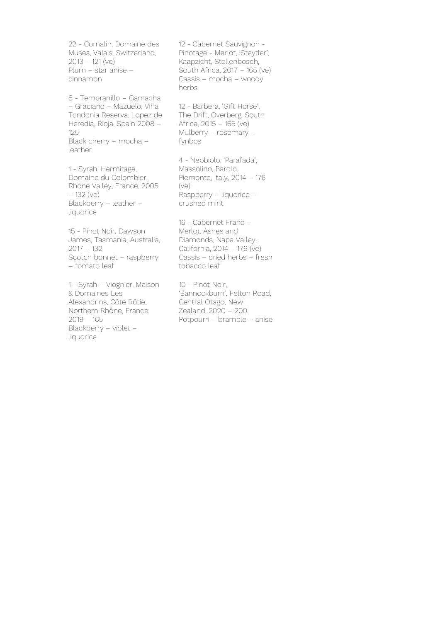22 - Cornalin, Domaine des Muses, Valais, Switzerland, 2013 – 121 (ve) Plum – star anise – cinnamon

8 - Tempranillo – Garnacha – Graciano – Mazuelo, Viña Tondonia Reserva, Lopez de Heredia, Rioja, Spain 2008 – 125 Black cherry – mocha – leather

1 - Syrah, Hermitage, Domaine du Colombier, Rhône Valley, France, 2005 – 132 (ve) Blackberry – leather – liquorice

15 - Pinot Noir, Dawson James, Tasmania, Australia, 2017 – 132 Scotch bonnet – raspberry – tomato leaf

1 - Syrah – Viognier, Maison & Domaines Les Alexandrins, Côte Rôtie, Northern Rhône, France, 2019 – 165 Blackberry – violet – liquorice

12 - Cabernet Sauvignon - Pinotage - Merlot, 'Steytler', Kaapzicht, Stellenbosch, South Africa, 2017 – 165 (ve) Cassis – mocha – woody herbs

12 - Barbera, 'Gift Horse', The Drift, Overberg, South Africa, 2015 – 165 (ve) Mulberry – rosemary – fynbos

4 - Nebbiolo, 'Parafada', Massolino, Barolo, Piemonte, Italy, 2014 – 176 (ve) Raspberry – liquorice – crushed mint

16 - Cabernet Franc – Merlot, Ashes and Diamonds, Napa Valley, California, 2014 – 176 (ve) Cassis – dried herbs – fresh tobacco leaf

10 - Pinot Noir, 'Bannockburn', Felton Road, Central Otago, New Zealand, 2020 – 200 Potpourri – bramble – anise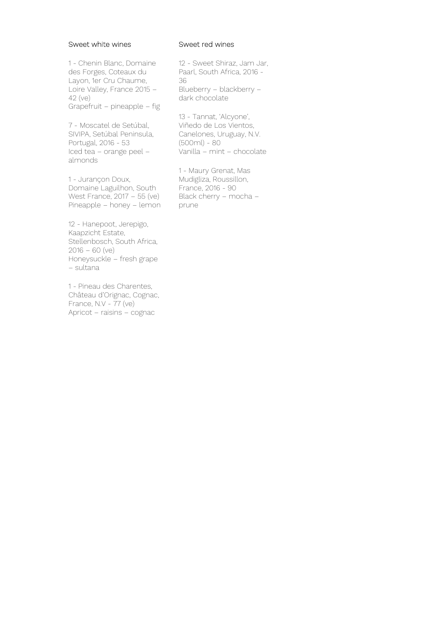#### Sweet white wines

1 - Chenin Blanc, Domaine des Forges, Coteaux du Layon, 1er Cru Chaume, Loire Valley, France 2015 – 42 (ve) Grapefruit – pineapple – fig

7 - Moscatel de Setúbal, SIVIPA, Setúbal Peninsula, Portugal, 2016 - 53 Iced tea – orange peel – almonds

1 - Jurançon Doux, Domaine Laguilhon, South West France, 2017 – 55 (ve) Pineapple – honey – lemon

12 - Hanepoot, Jerepigo, Kaapzicht Estate, Stellenbosch, South Africa,  $2016 - 60$  (ve) Honeysuckle – fresh grape – sultana

1 - Pineau des Charentes, Château d'Orignac, Cognac, France,  $N.V - 77$  (ve) Apricot – raisins – cognac

### Sweet red wines

12 - Sweet Shiraz, Jam Jar, Paarl, South Africa, 2016 - 36 Blueberry – blackberry – dark chocolate

13 - Tannat, 'Alcyone', Viñedo de Los Vientos, Canelones, Uruguay, N.V. (500ml) - 80 Vanilla – mint – chocolate

1 - Maury Grenat, Mas Mudigliza, Roussillon, France, 2016 - 90 Black cherry – mocha – prune